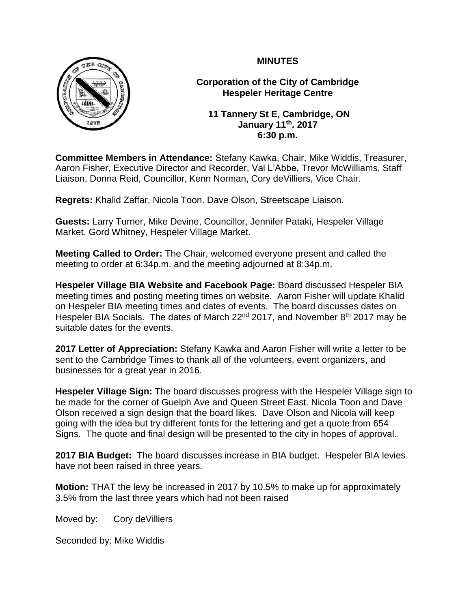

**Corporation of the City of Cambridge Hespeler Heritage Centre**

**11 Tannery St E, Cambridge, ON January 11th. 2017 6:30 p.m.**

**Committee Members in Attendance:** Stefany Kawka, Chair, Mike Widdis, Treasurer, Aaron Fisher, Executive Director and Recorder, Val L'Abbe, Trevor McWilliams, Staff Liaison, Donna Reid, Councillor, Kenn Norman, Cory deVilliers, Vice Chair.

**Regrets:** Khalid Zaffar, Nicola Toon. Dave Olson, Streetscape Liaison.

**Guests:** Larry Turner, Mike Devine, Councillor, Jennifer Pataki, Hespeler Village Market, Gord Whitney, Hespeler Village Market.

**Meeting Called to Order:** The Chair, welcomed everyone present and called the meeting to order at 6:34p.m. and the meeting adjourned at 8:34p.m.

**Hespeler Village BIA Website and Facebook Page:** Board discussed Hespeler BIA meeting times and posting meeting times on website. Aaron Fisher will update Khalid on Hespeler BIA meeting times and dates of events. The board discusses dates on Hespeler BIA Socials. The dates of March 22<sup>nd</sup> 2017, and November 8<sup>th</sup> 2017 may be suitable dates for the events.

**2017 Letter of Appreciation:** Stefany Kawka and Aaron Fisher will write a letter to be sent to the Cambridge Times to thank all of the volunteers, event organizers, and businesses for a great year in 2016.

**Hespeler Village Sign:** The board discusses progress with the Hespeler Village sign to be made for the corner of Guelph Ave and Queen Street East. Nicola Toon and Dave Olson received a sign design that the board likes. Dave Olson and Nicola will keep going with the idea but try different fonts for the lettering and get a quote from 654 Signs. The quote and final design will be presented to the city in hopes of approval.

**2017 BIA Budget:** The board discusses increase in BIA budget. Hespeler BIA levies have not been raised in three years.

**Motion:** THAT the levy be increased in 2017 by 10.5% to make up for approximately 3.5% from the last three years which had not been raised

Moved by: Cory de Villiers

Seconded by: Mike Widdis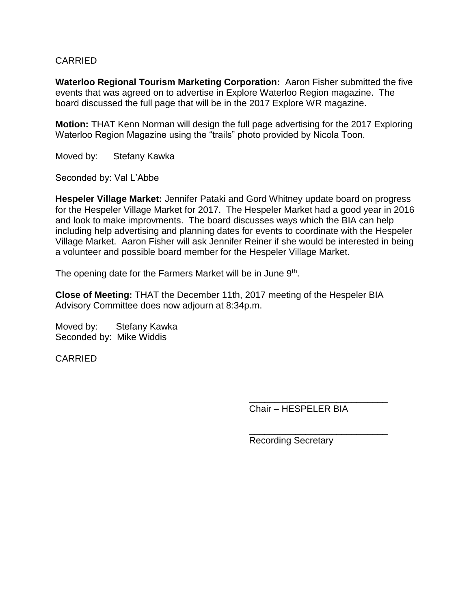#### CARRIED

**Waterloo Regional Tourism Marketing Corporation:** Aaron Fisher submitted the five events that was agreed on to advertise in Explore Waterloo Region magazine. The board discussed the full page that will be in the 2017 Explore WR magazine.

**Motion:** THAT Kenn Norman will design the full page advertising for the 2017 Exploring Waterloo Region Magazine using the "trails" photo provided by Nicola Toon.

Moved by: Stefany Kawka

Seconded by: Val L'Abbe

**Hespeler Village Market:** Jennifer Pataki and Gord Whitney update board on progress for the Hespeler Village Market for 2017. The Hespeler Market had a good year in 2016 and look to make improvments. The board discusses ways which the BIA can help including help advertising and planning dates for events to coordinate with the Hespeler Village Market. Aaron Fisher will ask Jennifer Reiner if she would be interested in being a volunteer and possible board member for the Hespeler Village Market.

The opening date for the Farmers Market will be in June 9<sup>th</sup>.

**Close of Meeting:** THAT the December 11th, 2017 meeting of the Hespeler BIA Advisory Committee does now adjourn at 8:34p.m.

Moved by: Stefany Kawka Seconded by: Mike Widdis

CARRIED

\_\_\_\_\_\_\_\_\_\_\_\_\_\_\_\_\_\_\_\_\_\_\_\_\_\_\_ Chair – HESPELER BIA

\_\_\_\_\_\_\_\_\_\_\_\_\_\_\_\_\_\_\_\_\_\_\_\_\_\_\_ Recording Secretary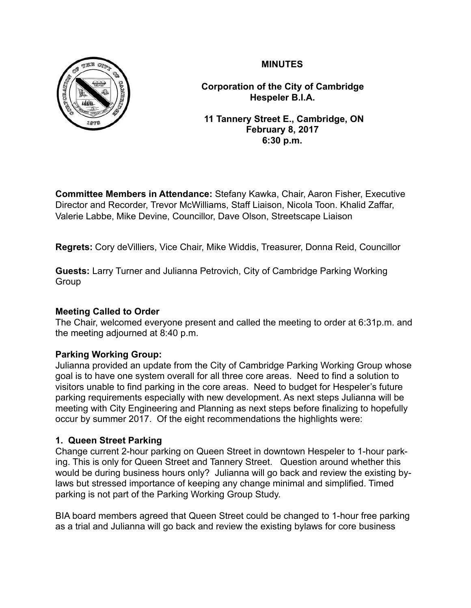

**Corporation of the City of Cambridge Hespeler B.I.A.**

 **11 Tannery Street E., Cambridge, ON February 8, 2017 6:30 p.m.**

**Committee Members in Attendance:** Stefany Kawka, Chair, Aaron Fisher, Executive Director and Recorder, Trevor McWilliams, Staff Liaison, Nicola Toon. Khalid Zaffar, Valerie Labbe, Mike Devine, Councillor, Dave Olson, Streetscape Liaison

**Regrets:** Cory deVilliers, Vice Chair, Mike Widdis, Treasurer, Donna Reid, Councillor

**Guests:** Larry Turner and Julianna Petrovich, City of Cambridge Parking Working Group

# **Meeting Called to Order**

The Chair, welcomed everyone present and called the meeting to order at 6:31p.m. and the meeting adjourned at 8:40 p.m.

# **Parking Working Group:**

Julianna provided an update from the City of Cambridge Parking Working Group whose goal is to have one system overall for all three core areas. Need to find a solution to visitors unable to find parking in the core areas. Need to budget for Hespeler's future parking requirements especially with new development. As next steps Julianna will be meeting with City Engineering and Planning as next steps before finalizing to hopefully occur by summer 2017. Of the eight recommendations the highlights were:

# **1. Queen Street Parking**

Change current 2-hour parking on Queen Street in downtown Hespeler to 1-hour parking. This is only for Queen Street and Tannery Street. Question around whether this would be during business hours only? Julianna will go back and review the existing bylaws but stressed importance of keeping any change minimal and simplified. Timed parking is not part of the Parking Working Group Study.

BIA board members agreed that Queen Street could be changed to 1-hour free parking as a trial and Julianna will go back and review the existing bylaws for core business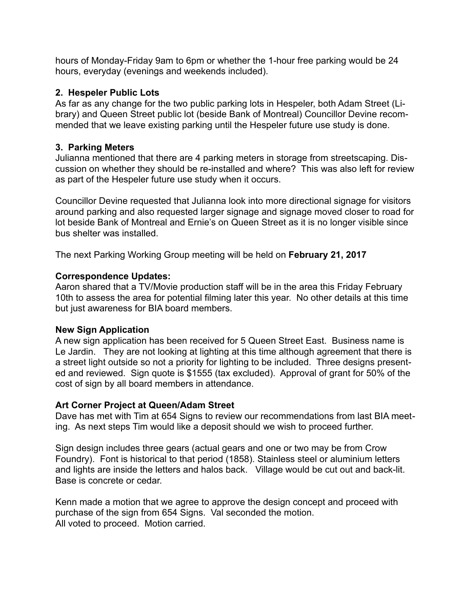hours of Monday-Friday 9am to 6pm or whether the 1-hour free parking would be 24 hours, everyday (evenings and weekends included).

### **2. Hespeler Public Lots**

As far as any change for the two public parking lots in Hespeler, both Adam Street (Library) and Queen Street public lot (beside Bank of Montreal) Councillor Devine recommended that we leave existing parking until the Hespeler future use study is done.

### **3. Parking Meters**

Julianna mentioned that there are 4 parking meters in storage from streetscaping. Discussion on whether they should be re-installed and where? This was also left for review as part of the Hespeler future use study when it occurs.

Councillor Devine requested that Julianna look into more directional signage for visitors around parking and also requested larger signage and signage moved closer to road for lot beside Bank of Montreal and Ernie's on Queen Street as it is no longer visible since bus shelter was installed.

The next Parking Working Group meeting will be held on **February 21, 2017**

#### **Correspondence Updates:**

Aaron shared that a TV/Movie production staff will be in the area this Friday February 10th to assess the area for potential filming later this year. No other details at this time but just awareness for BIA board members.

#### **New Sign Application**

A new sign application has been received for 5 Queen Street East. Business name is Le Jardin. They are not looking at lighting at this time although agreement that there is a street light outside so not a priority for lighting to be included. Three designs presented and reviewed. Sign quote is \$1555 (tax excluded). Approval of grant for 50% of the cost of sign by all board members in attendance.

#### **Art Corner Project at Queen/Adam Street**

Dave has met with Tim at 654 Signs to review our recommendations from last BIA meeting. As next steps Tim would like a deposit should we wish to proceed further.

Sign design includes three gears (actual gears and one or two may be from Crow Foundry). Font is historical to that period (1858). Stainless steel or aluminium letters and lights are inside the letters and halos back. Village would be cut out and back-lit. Base is concrete or cedar.

Kenn made a motion that we agree to approve the design concept and proceed with purchase of the sign from 654 Signs. Val seconded the motion. All voted to proceed. Motion carried.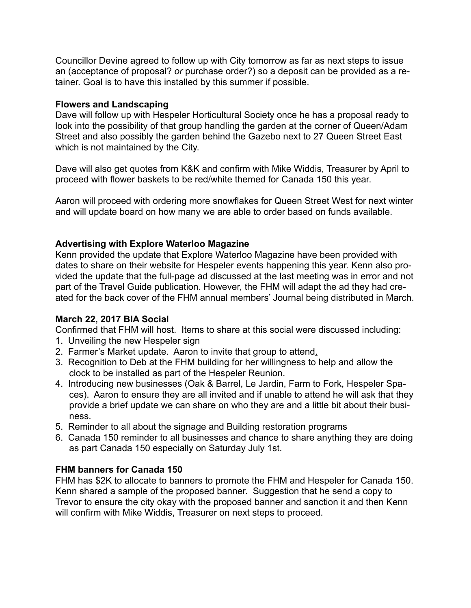Councillor Devine agreed to follow up with City tomorrow as far as next steps to issue an (acceptance of proposal? *or* purchase order?) so a deposit can be provided as a retainer. Goal is to have this installed by this summer if possible.

#### **Flowers and Landscaping**

Dave will follow up with Hespeler Horticultural Society once he has a proposal ready to look into the possibility of that group handling the garden at the corner of Queen/Adam Street and also possibly the garden behind the Gazebo next to 27 Queen Street East which is not maintained by the City.

Dave will also get quotes from K&K and confirm with Mike Widdis, Treasurer by April to proceed with flower baskets to be red/white themed for Canada 150 this year.

Aaron will proceed with ordering more snowflakes for Queen Street West for next winter and will update board on how many we are able to order based on funds available.

# **Advertising with Explore Waterloo Magazine**

Kenn provided the update that Explore Waterloo Magazine have been provided with dates to share on their website for Hespeler events happening this year. Kenn also provided the update that the full-page ad discussed at the last meeting was in error and not part of the Travel Guide publication. However, the FHM will adapt the ad they had created for the back cover of the FHM annual members' Journal being distributed in March.

#### **March 22, 2017 BIA Social**

Confirmed that FHM will host. Items to share at this social were discussed including:

- 1. Unveiling the new Hespeler sign
- 2. Farmer's Market update. Aaron to invite that group to attend.
- 3. Recognition to Deb at the FHM building for her willingness to help and allow the clock to be installed as part of the Hespeler Reunion.
- 4. Introducing new businesses (Oak & Barrel, Le Jardin, Farm to Fork, Hespeler Spaces). Aaron to ensure they are all invited and if unable to attend he will ask that they provide a brief update we can share on who they are and a little bit about their business.
- 5. Reminder to all about the signage and Building restoration programs
- 6. Canada 150 reminder to all businesses and chance to share anything they are doing as part Canada 150 especially on Saturday July 1st.

# **FHM banners for Canada 150**

FHM has \$2K to allocate to banners to promote the FHM and Hespeler for Canada 150. Kenn shared a sample of the proposed banner. Suggestion that he send a copy to Trevor to ensure the city okay with the proposed banner and sanction it and then Kenn will confirm with Mike Widdis, Treasurer on next steps to proceed.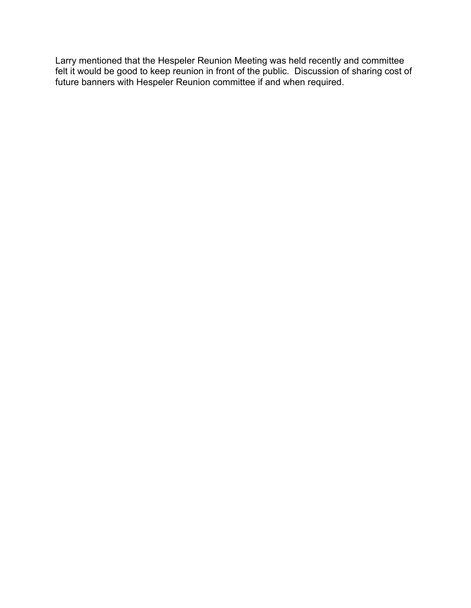Larry mentioned that the Hespeler Reunion Meeting was held recently and committee felt it would be good to keep reunion in front of the public. Discussion of sharing cost of future banners with Hespeler Reunion committee if and when required.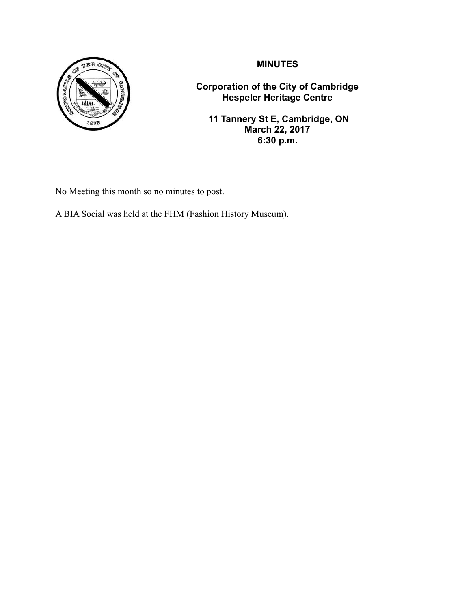



**Corporation of the City of Cambridge Hespeler Heritage Centre**

 **11 Tannery St E, Cambridge, ON March 22, 2017 6:30 p.m.**

No Meeting this month so no minutes to post.

A BIA Social was held at the FHM (Fashion History Museum).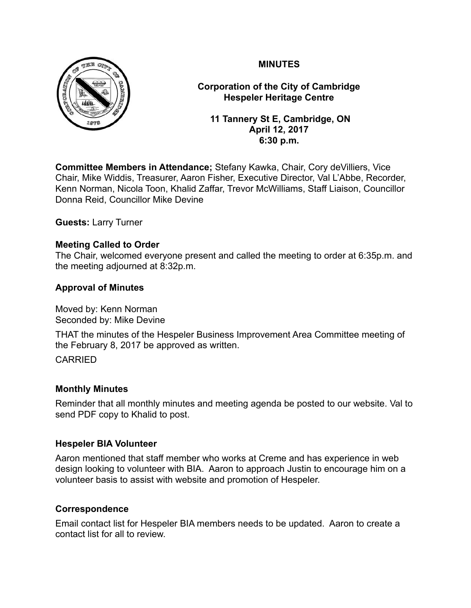

**Corporation of the City of Cambridge Hespeler Heritage Centre**

 **11 Tannery St E, Cambridge, ON April 12, 2017 6:30 p.m.**

**Committee Members in Attendance;** Stefany Kawka, Chair, Cory deVilliers, Vice Chair, Mike Widdis, Treasurer, Aaron Fisher, Executive Director, Val L'Abbe, Recorder, Kenn Norman, Nicola Toon, Khalid Zaffar, Trevor McWilliams, Staff Liaison, Councillor Donna Reid, Councillor Mike Devine

**Guests:** Larry Turner

# **Meeting Called to Order**

The Chair, welcomed everyone present and called the meeting to order at 6:35p.m. and the meeting adjourned at 8:32p.m.

# **Approval of Minutes**

Moved by: Kenn Norman Seconded by: Mike Devine

THAT the minutes of the Hespeler Business Improvement Area Committee meeting of the February 8, 2017 be approved as written.

#### CARRIED

#### **Monthly Minutes**

Reminder that all monthly minutes and meeting agenda be posted to our website. Val to send PDF copy to Khalid to post.

#### **Hespeler BIA Volunteer**

Aaron mentioned that staff member who works at Creme and has experience in web design looking to volunteer with BIA. Aaron to approach Justin to encourage him on a volunteer basis to assist with website and promotion of Hespeler.

# **Correspondence**

Email contact list for Hespeler BIA members needs to be updated. Aaron to create a contact list for all to review.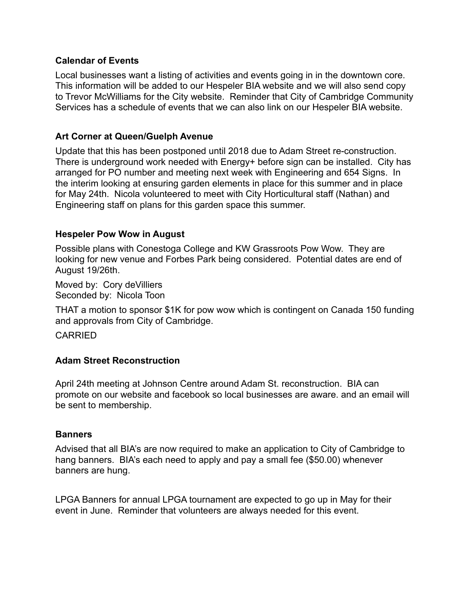#### **Calendar of Events**

Local businesses want a listing of activities and events going in in the downtown core. This information will be added to our Hespeler BIA website and we will also send copy to Trevor McWilliams for the City website. Reminder that City of Cambridge Community Services has a schedule of events that we can also link on our Hespeler BIA website.

#### **Art Corner at Queen/Guelph Avenue**

Update that this has been postponed until 2018 due to Adam Street re-construction. There is underground work needed with Energy+ before sign can be installed. City has arranged for PO number and meeting next week with Engineering and 654 Signs. In the interim looking at ensuring garden elements in place for this summer and in place for May 24th. Nicola volunteered to meet with City Horticultural staff (Nathan) and Engineering staff on plans for this garden space this summer.

#### **Hespeler Pow Wow in August**

Possible plans with Conestoga College and KW Grassroots Pow Wow. They are looking for new venue and Forbes Park being considered. Potential dates are end of August 19/26th.

Moved by: Cory deVilliers Seconded by: Nicola Toon

THAT a motion to sponsor \$1K for pow wow which is contingent on Canada 150 funding and approvals from City of Cambridge.

CARRIED

# **Adam Street Reconstruction**

April 24th meeting at Johnson Centre around Adam St. reconstruction. BIA can promote on our website and facebook so local businesses are aware. and an email will be sent to membership.

#### **Banners**

Advised that all BIA's are now required to make an application to City of Cambridge to hang banners. BIA's each need to apply and pay a small fee (\$50.00) whenever banners are hung.

LPGA Banners for annual LPGA tournament are expected to go up in May for their event in June. Reminder that volunteers are always needed for this event.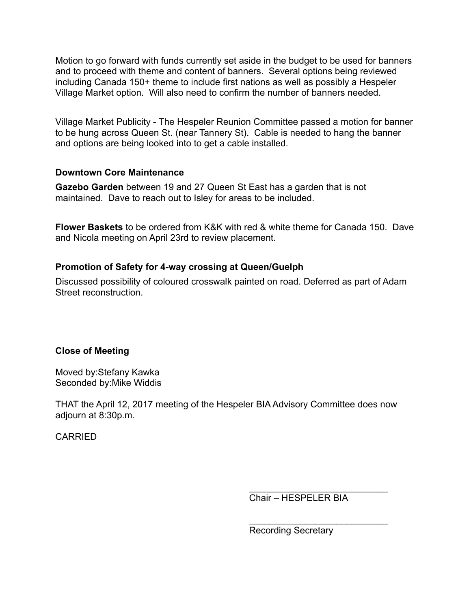Motion to go forward with funds currently set aside in the budget to be used for banners and to proceed with theme and content of banners. Several options being reviewed including Canada 150+ theme to include first nations as well as possibly a Hespeler Village Market option. Will also need to confirm the number of banners needed.

Village Market Publicity - The Hespeler Reunion Committee passed a motion for banner to be hung across Queen St. (near Tannery St). Cable is needed to hang the banner and options are being looked into to get a cable installed.

#### **Downtown Core Maintenance**

**Gazebo Garden** between 19 and 27 Queen St East has a garden that is not maintained. Dave to reach out to Isley for areas to be included.

**Flower Baskets** to be ordered from K&K with red & white theme for Canada 150. Dave and Nicola meeting on April 23rd to review placement.

#### **Promotion of Safety for 4-way crossing at Queen/Guelph**

Discussed possibility of coloured crosswalk painted on road. Deferred as part of Adam Street reconstruction.

# **Close of Meeting**

Moved by:Stefany Kawka Seconded by:Mike Widdis

THAT the April 12, 2017 meeting of the Hespeler BIA Advisory Committee does now adjourn at 8:30p.m.

CARRIED

Chair – HESPELER BIA

 $\frac{\partial u}{\partial x^2} = \frac{\partial u}{\partial y^2} + \frac{\partial u}{\partial z^2} + \frac{\partial u}{\partial z^2} + \frac{\partial u}{\partial z^2} + \frac{\partial u}{\partial z^2} + \frac{\partial u}{\partial z^2} + \frac{\partial u}{\partial z^2} + \frac{\partial u}{\partial z^2} + \frac{\partial u}{\partial z^2} + \frac{\partial u}{\partial z^2} + \frac{\partial u}{\partial z^2} + \frac{\partial u}{\partial z^2} + \frac{\partial u}{\partial z^2} + \frac{\partial u}{\partial z^2} + \frac{\partial u}{\partial z^2} + \frac{\partial u}{\partial z^2}$ 

 $\overline{\phantom{a}}$  , where  $\overline{\phantom{a}}$  , where  $\overline{\phantom{a}}$  , where  $\overline{\phantom{a}}$ 

Recording Secretary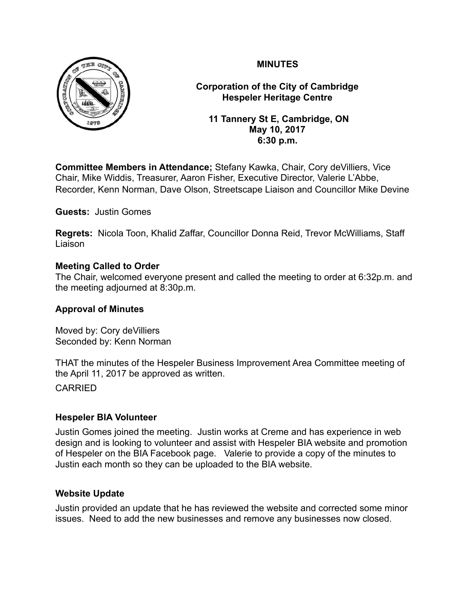

**Corporation of the City of Cambridge Hespeler Heritage Centre**

 **11 Tannery St E, Cambridge, ON May 10, 2017 6:30 p.m.**

**Committee Members in Attendance;** Stefany Kawka, Chair, Cory deVilliers, Vice Chair, Mike Widdis, Treasurer, Aaron Fisher, Executive Director, Valerie L'Abbe, Recorder, Kenn Norman, Dave Olson, Streetscape Liaison and Councillor Mike Devine

**Guests:** Justin Gomes

**Regrets:** Nicola Toon, Khalid Zaffar, Councillor Donna Reid, Trevor McWilliams, Staff Liaison

# **Meeting Called to Order**

The Chair, welcomed everyone present and called the meeting to order at 6:32p.m. and the meeting adjourned at 8:30p.m.

# **Approval of Minutes**

Moved by: Cory deVilliers Seconded by: Kenn Norman

THAT the minutes of the Hespeler Business Improvement Area Committee meeting of the April 11, 2017 be approved as written.

CARRIED

#### **Hespeler BIA Volunteer**

Justin Gomes joined the meeting. Justin works at Creme and has experience in web design and is looking to volunteer and assist with Hespeler BIA website and promotion of Hespeler on the BIA Facebook page. Valerie to provide a copy of the minutes to Justin each month so they can be uploaded to the BIA website.

#### **Website Update**

Justin provided an update that he has reviewed the website and corrected some minor issues. Need to add the new businesses and remove any businesses now closed.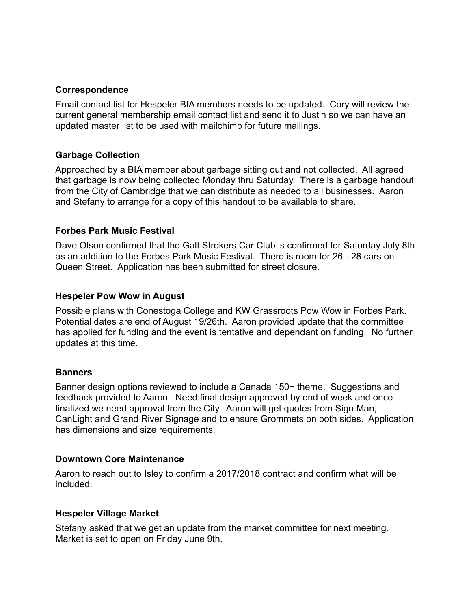#### **Correspondence**

Email contact list for Hespeler BIA members needs to be updated. Cory will review the current general membership email contact list and send it to Justin so we can have an updated master list to be used with mailchimp for future mailings.

#### **Garbage Collection**

Approached by a BIA member about garbage sitting out and not collected. All agreed that garbage is now being collected Monday thru Saturday. There is a garbage handout from the City of Cambridge that we can distribute as needed to all businesses. Aaron and Stefany to arrange for a copy of this handout to be available to share.

#### **Forbes Park Music Festival**

Dave Olson confirmed that the Galt Strokers Car Club is confirmed for Saturday July 8th as an addition to the Forbes Park Music Festival. There is room for 26 - 28 cars on Queen Street. Application has been submitted for street closure.

#### **Hespeler Pow Wow in August**

Possible plans with Conestoga College and KW Grassroots Pow Wow in Forbes Park. Potential dates are end of August 19/26th. Aaron provided update that the committee has applied for funding and the event is tentative and dependant on funding. No further updates at this time.

#### **Banners**

Banner design options reviewed to include a Canada 150+ theme. Suggestions and feedback provided to Aaron. Need final design approved by end of week and once finalized we need approval from the City. Aaron will get quotes from Sign Man, CanLight and Grand River Signage and to ensure Grommets on both sides. Application has dimensions and size requirements.

#### **Downtown Core Maintenance**

Aaron to reach out to Isley to confirm a 2017/2018 contract and confirm what will be included.

#### **Hespeler Village Market**

Stefany asked that we get an update from the market committee for next meeting. Market is set to open on Friday June 9th.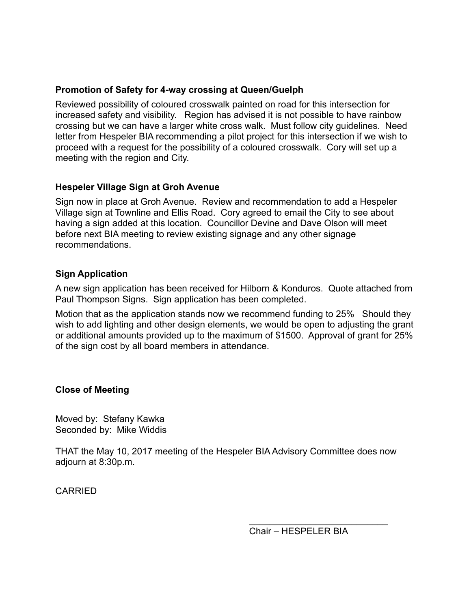### **Promotion of Safety for 4-way crossing at Queen/Guelph**

Reviewed possibility of coloured crosswalk painted on road for this intersection for increased safety and visibility. Region has advised it is not possible to have rainbow crossing but we can have a larger white cross walk. Must follow city guidelines. Need letter from Hespeler BIA recommending a pilot project for this intersection if we wish to proceed with a request for the possibility of a coloured crosswalk. Cory will set up a meeting with the region and City.

#### **Hespeler Village Sign at Groh Avenue**

Sign now in place at Groh Avenue. Review and recommendation to add a Hespeler Village sign at Townline and Ellis Road. Cory agreed to email the City to see about having a sign added at this location. Councillor Devine and Dave Olson will meet before next BIA meeting to review existing signage and any other signage recommendations.

#### **Sign Application**

A new sign application has been received for Hilborn & Konduros. Quote attached from Paul Thompson Signs. Sign application has been completed.

Motion that as the application stands now we recommend funding to 25% Should they wish to add lighting and other design elements, we would be open to adjusting the grant or additional amounts provided up to the maximum of \$1500. Approval of grant for 25% of the sign cost by all board members in attendance.

# **Close of Meeting**

Moved by: Stefany Kawka Seconded by: Mike Widdis

THAT the May 10, 2017 meeting of the Hespeler BIA Advisory Committee does now adjourn at 8:30p.m.

CARRIED

Chair – HESPELER BIA

 $\mathcal{L}_\text{max}$  , where  $\mathcal{L}_\text{max}$  is the set of the set of the set of the set of the set of the set of the set of the set of the set of the set of the set of the set of the set of the set of the set of the set of the se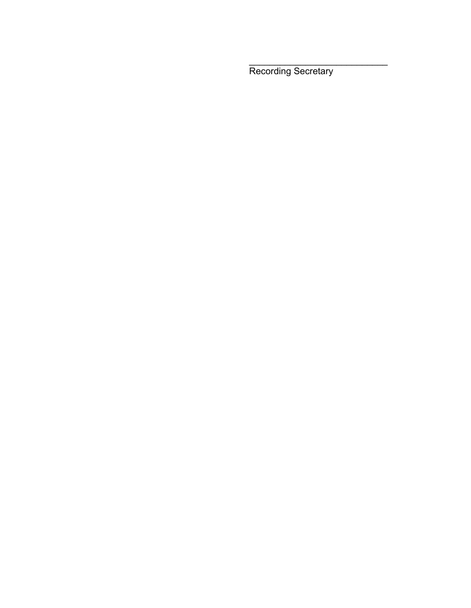Recording Secretary

 $\frac{\partial u}{\partial x^2} = \frac{\partial u}{\partial y^2} + \frac{\partial u}{\partial z^2} + \frac{\partial u}{\partial z^2} + \frac{\partial u}{\partial z^2} + \frac{\partial u}{\partial z^2} + \frac{\partial u}{\partial z^2} + \frac{\partial u}{\partial z^2} + \frac{\partial u}{\partial z^2} + \frac{\partial u}{\partial z^2} + \frac{\partial u}{\partial z^2} + \frac{\partial u}{\partial z^2} + \frac{\partial u}{\partial z^2} + \frac{\partial u}{\partial z^2} + \frac{\partial u}{\partial z^2} + \frac{\partial u}{\partial z^2} + \frac{\partial u}{\partial z^2}$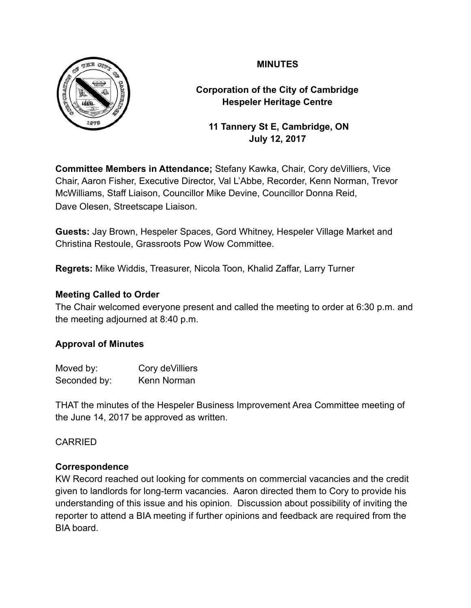

**Corporation of the City of Cambridge Hespeler Heritage Centre**

 **11 Tannery St E, Cambridge, ON July 12, 2017**

**Committee Members in Attendance;** Stefany Kawka, Chair, Cory deVilliers, Vice Chair, Aaron Fisher, Executive Director, Val L'Abbe, Recorder, Kenn Norman, Trevor McWilliams, Staff Liaison, Councillor Mike Devine, Councillor Donna Reid, Dave Olesen, Streetscape Liaison.

**Guests:** Jay Brown, Hespeler Spaces, Gord Whitney, Hespeler Village Market and Christina Restoule, Grassroots Pow Wow Committee.

**Regrets:** Mike Widdis, Treasurer, Nicola Toon, Khalid Zaffar, Larry Turner

# **Meeting Called to Order**

The Chair welcomed everyone present and called the meeting to order at 6:30 p.m. and the meeting adjourned at 8:40 p.m.

# **Approval of Minutes**

| Moved by:    | Cory de Villiers |
|--------------|------------------|
| Seconded by: | Kenn Norman      |

THAT the minutes of the Hespeler Business Improvement Area Committee meeting of the June 14, 2017 be approved as written.

# CARRIED

# **Correspondence**

KW Record reached out looking for comments on commercial vacancies and the credit given to landlords for long-term vacancies. Aaron directed them to Cory to provide his understanding of this issue and his opinion. Discussion about possibility of inviting the reporter to attend a BIA meeting if further opinions and feedback are required from the BIA board.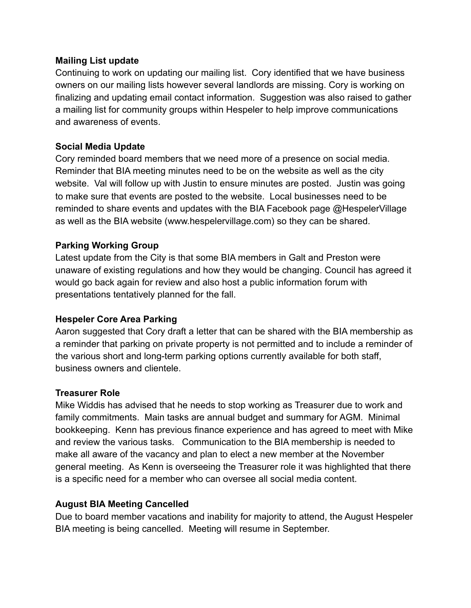### **Mailing List update**

Continuing to work on updating our mailing list. Cory identified that we have business owners on our mailing lists however several landlords are missing. Cory is working on finalizing and updating email contact information. Suggestion was also raised to gather a mailing list for community groups within Hespeler to help improve communications and awareness of events.

# **Social Media Update**

Cory reminded board members that we need more of a presence on social media. Reminder that BIA meeting minutes need to be on the website as well as the city website. Val will follow up with Justin to ensure minutes are posted. Justin was going to make sure that events are posted to the website. Local businesses need to be reminded to share events and updates with the BIA Facebook page @HespelerVillage as well as the BIA website (www.hespelervillage.com) so they can be shared.

# **Parking Working Group**

Latest update from the City is that some BIA members in Galt and Preston were unaware of existing regulations and how they would be changing. Council has agreed it would go back again for review and also host a public information forum with presentations tentatively planned for the fall.

# **Hespeler Core Area Parking**

Aaron suggested that Cory draft a letter that can be shared with the BIA membership as a reminder that parking on private property is not permitted and to include a reminder of the various short and long-term parking options currently available for both staff, business owners and clientele.

# **Treasurer Role**

Mike Widdis has advised that he needs to stop working as Treasurer due to work and family commitments. Main tasks are annual budget and summary for AGM. Minimal bookkeeping. Kenn has previous finance experience and has agreed to meet with Mike and review the various tasks. Communication to the BIA membership is needed to make all aware of the vacancy and plan to elect a new member at the November general meeting. As Kenn is overseeing the Treasurer role it was highlighted that there is a specific need for a member who can oversee all social media content.

# **August BIA Meeting Cancelled**

Due to board member vacations and inability for majority to attend, the August Hespeler BIA meeting is being cancelled. Meeting will resume in September.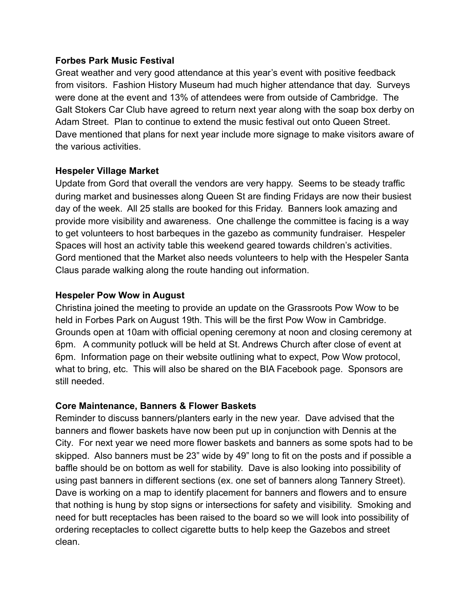#### **Forbes Park Music Festival**

Great weather and very good attendance at this year's event with positive feedback from visitors. Fashion History Museum had much higher attendance that day. Surveys were done at the event and 13% of attendees were from outside of Cambridge. The Galt Stokers Car Club have agreed to return next year along with the soap box derby on Adam Street. Plan to continue to extend the music festival out onto Queen Street. Dave mentioned that plans for next year include more signage to make visitors aware of the various activities.

# **Hespeler Village Market**

Update from Gord that overall the vendors are very happy. Seems to be steady traffic during market and businesses along Queen St are finding Fridays are now their busiest day of the week. All 25 stalls are booked for this Friday. Banners look amazing and provide more visibility and awareness. One challenge the committee is facing is a way to get volunteers to host barbeques in the gazebo as community fundraiser. Hespeler Spaces will host an activity table this weekend geared towards children's activities. Gord mentioned that the Market also needs volunteers to help with the Hespeler Santa Claus parade walking along the route handing out information.

#### **Hespeler Pow Wow in August**

Christina joined the meeting to provide an update on the Grassroots Pow Wow to be held in Forbes Park on August 19th. This will be the first Pow Wow in Cambridge. Grounds open at 10am with official opening ceremony at noon and closing ceremony at 6pm. A community potluck will be held at St. Andrews Church after close of event at 6pm. Information page on their website outlining what to expect, Pow Wow protocol, what to bring, etc. This will also be shared on the BIA Facebook page. Sponsors are still needed.

# **Core Maintenance, Banners & Flower Baskets**

Reminder to discuss banners/planters early in the new year. Dave advised that the banners and flower baskets have now been put up in conjunction with Dennis at the City*.* For next year we need more flower baskets and banners as some spots had to be skipped. Also banners must be 23" wide by 49" long to fit on the posts and if possible a baffle should be on bottom as well for stability. Dave is also looking into possibility of using past banners in different sections (ex. one set of banners along Tannery Street). Dave is working on a map to identify placement for banners and flowers and to ensure that nothing is hung by stop signs or intersections for safety and visibility. Smoking and need for butt receptacles has been raised to the board so we will look into possibility of ordering receptacles to collect cigarette butts to help keep the Gazebos and street clean.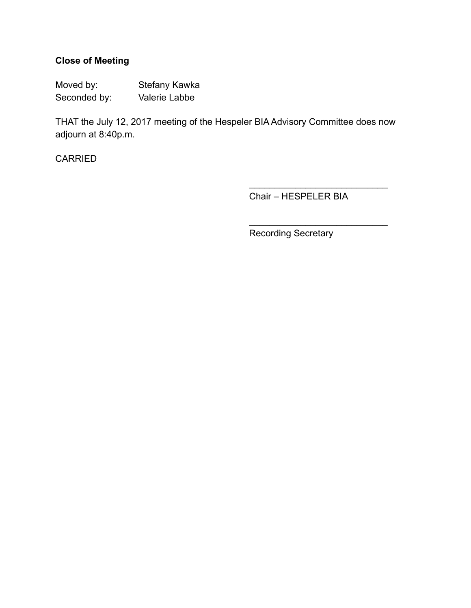# **Close of Meeting**

Moved by: Stefany Kawka Seconded by: Valerie Labbe

THAT the July 12, 2017 meeting of the Hespeler BIA Advisory Committee does now adjourn at 8:40p.m.

CARRIED

Chair – HESPELER BIA

 $\frac{1}{\sqrt{2}}$  ,  $\frac{1}{\sqrt{2}}$  ,  $\frac{1}{\sqrt{2}}$  ,  $\frac{1}{\sqrt{2}}$  ,  $\frac{1}{\sqrt{2}}$  ,  $\frac{1}{\sqrt{2}}$  ,  $\frac{1}{\sqrt{2}}$  ,  $\frac{1}{\sqrt{2}}$  ,  $\frac{1}{\sqrt{2}}$  ,  $\frac{1}{\sqrt{2}}$  ,  $\frac{1}{\sqrt{2}}$  ,  $\frac{1}{\sqrt{2}}$  ,  $\frac{1}{\sqrt{2}}$  ,  $\frac{1}{\sqrt{2}}$  ,  $\frac{1}{\sqrt{2}}$ 

 $\overline{\phantom{a}}$  , where  $\overline{\phantom{a}}$  , where  $\overline{\phantom{a}}$  , where  $\overline{\phantom{a}}$ 

Recording Secretary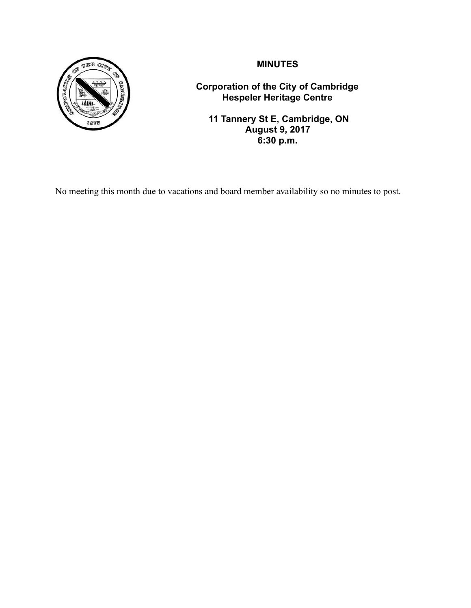

**Corporation of the City of Cambridge Hespeler Heritage Centre**

 **11 Tannery St E, Cambridge, ON August 9, 2017 6:30 p.m.**

No meeting this month due to vacations and board member availability so no minutes to post.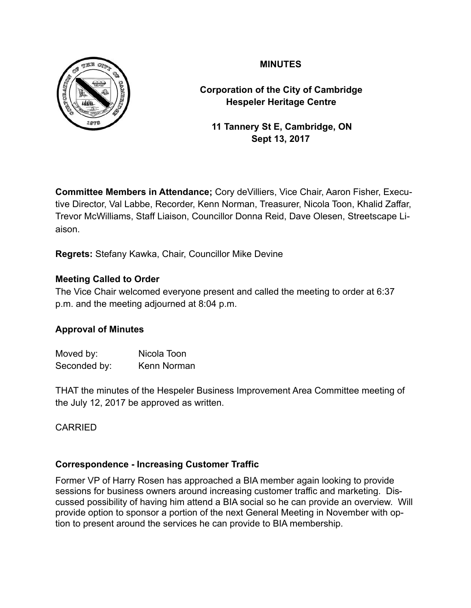

**Corporation of the City of Cambridge Hespeler Heritage Centre**

 **11 Tannery St E, Cambridge, ON Sept 13, 2017**

**Committee Members in Attendance;** Cory deVilliers, Vice Chair, Aaron Fisher, Executive Director, Val Labbe, Recorder, Kenn Norman, Treasurer, Nicola Toon, Khalid Zaffar, Trevor McWilliams, Staff Liaison, Councillor Donna Reid, Dave Olesen, Streetscape Liaison.

**Regrets:** Stefany Kawka, Chair, Councillor Mike Devine

# **Meeting Called to Order**

The Vice Chair welcomed everyone present and called the meeting to order at 6:37 p.m. and the meeting adjourned at 8:04 p.m.

# **Approval of Minutes**

| Moved by:    | Nicola Toon |
|--------------|-------------|
| Seconded by: | Kenn Norman |

THAT the minutes of the Hespeler Business Improvement Area Committee meeting of the July 12, 2017 be approved as written.

# CARRIED

# **Correspondence - Increasing Customer Traffic**

Former VP of Harry Rosen has approached a BIA member again looking to provide sessions for business owners around increasing customer traffic and marketing. Discussed possibility of having him attend a BIA social so he can provide an overview. Will provide option to sponsor a portion of the next General Meeting in November with option to present around the services he can provide to BIA membership.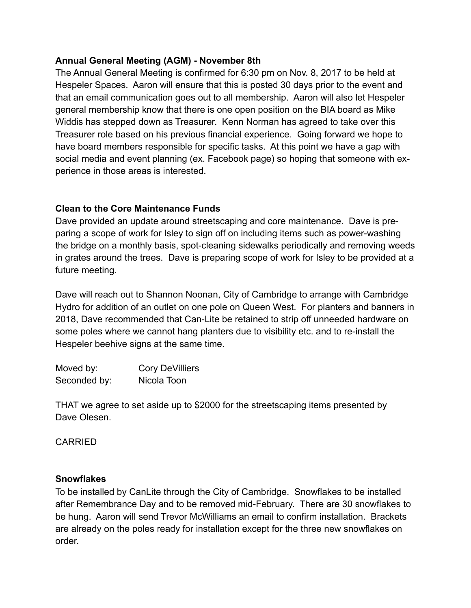# **Annual General Meeting (AGM) - November 8th**

The Annual General Meeting is confirmed for 6:30 pm on Nov. 8, 2017 to be held at Hespeler Spaces. Aaron will ensure that this is posted 30 days prior to the event and that an email communication goes out to all membership. Aaron will also let Hespeler general membership know that there is one open position on the BIA board as Mike Widdis has stepped down as Treasurer. Kenn Norman has agreed to take over this Treasurer role based on his previous financial experience. Going forward we hope to have board members responsible for specific tasks. At this point we have a gap with social media and event planning (ex. Facebook page) so hoping that someone with experience in those areas is interested.

# **Clean to the Core Maintenance Funds**

Dave provided an update around streetscaping and core maintenance. Dave is preparing a scope of work for Isley to sign off on including items such as power-washing the bridge on a monthly basis, spot-cleaning sidewalks periodically and removing weeds in grates around the trees. Dave is preparing scope of work for Isley to be provided at a future meeting.

Dave will reach out to Shannon Noonan, City of Cambridge to arrange with Cambridge Hydro for addition of an outlet on one pole on Queen West. For planters and banners in 2018, Dave recommended that Can-Lite be retained to strip off unneeded hardware on some poles where we cannot hang planters due to visibility etc. and to re-install the Hespeler beehive signs at the same time.

| Moved by:    | <b>Cory DeVilliers</b> |
|--------------|------------------------|
| Seconded by: | Nicola Toon            |

THAT we agree to set aside up to \$2000 for the streetscaping items presented by Dave Olesen.

# CARRIED

#### **Snowflakes**

To be installed by CanLite through the City of Cambridge. Snowflakes to be installed after Remembrance Day and to be removed mid-February. There are 30 snowflakes to be hung. Aaron will send Trevor McWilliams an email to confirm installation. Brackets are already on the poles ready for installation except for the three new snowflakes on order.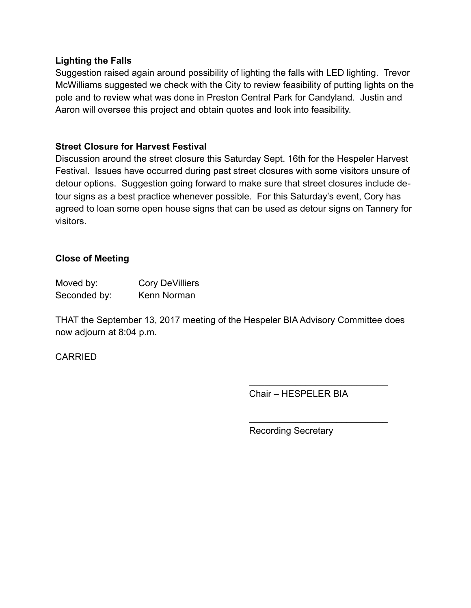#### **Lighting the Falls**

Suggestion raised again around possibility of lighting the falls with LED lighting. Trevor McWilliams suggested we check with the City to review feasibility of putting lights on the pole and to review what was done in Preston Central Park for Candyland. Justin and Aaron will oversee this project and obtain quotes and look into feasibility.

### **Street Closure for Harvest Festival**

Discussion around the street closure this Saturday Sept. 16th for the Hespeler Harvest Festival. Issues have occurred during past street closures with some visitors unsure of detour options. Suggestion going forward to make sure that street closures include detour signs as a best practice whenever possible. For this Saturday's event, Cory has agreed to loan some open house signs that can be used as detour signs on Tannery for visitors.

#### **Close of Meeting**

| Moved by:    | <b>Cory DeVilliers</b> |
|--------------|------------------------|
| Seconded by: | Kenn Norman            |

THAT the September 13, 2017 meeting of the Hespeler BIA Advisory Committee does now adjourn at 8:04 p.m.

# CARRIED

Chair – HESPELER BIA

 $\frac{\partial u}{\partial x^2} = \frac{\partial u}{\partial y^2} + \frac{\partial u}{\partial z^2} + \frac{\partial u}{\partial z^2} + \frac{\partial u}{\partial z^2} + \frac{\partial u}{\partial z^2} + \frac{\partial u}{\partial z^2} + \frac{\partial u}{\partial z^2} + \frac{\partial u}{\partial z^2} + \frac{\partial u}{\partial z^2} + \frac{\partial u}{\partial z^2} + \frac{\partial u}{\partial z^2} + \frac{\partial u}{\partial z^2} + \frac{\partial u}{\partial z^2} + \frac{\partial u}{\partial z^2} + \frac{\partial u}{\partial z^2} + \frac{\partial u}{\partial z^2}$ 

 $\mathcal{L}=\{1,2,3,4,5\}$ 

Recording Secretary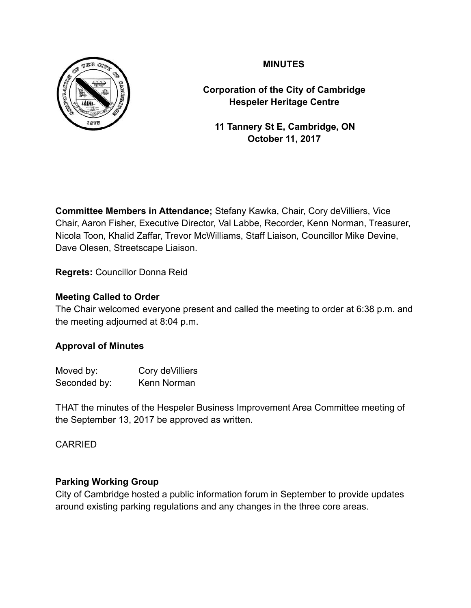

**Corporation of the City of Cambridge Hespeler Heritage Centre**

 **11 Tannery St E, Cambridge, ON October 11, 2017**

**Committee Members in Attendance;** Stefany Kawka, Chair, Cory deVilliers, Vice Chair, Aaron Fisher, Executive Director, Val Labbe, Recorder, Kenn Norman, Treasurer, Nicola Toon, Khalid Zaffar, Trevor McWilliams, Staff Liaison, Councillor Mike Devine, Dave Olesen, Streetscape Liaison.

**Regrets:** Councillor Donna Reid

# **Meeting Called to Order**

The Chair welcomed everyone present and called the meeting to order at 6:38 p.m. and the meeting adjourned at 8:04 p.m.

# **Approval of Minutes**

| Moved by:    | Cory de Villiers |
|--------------|------------------|
| Seconded by: | Kenn Norman      |

THAT the minutes of the Hespeler Business Improvement Area Committee meeting of the September 13, 2017 be approved as written.

# CARRIED

# **Parking Working Group**

City of Cambridge hosted a public information forum in September to provide updates around existing parking regulations and any changes in the three core areas.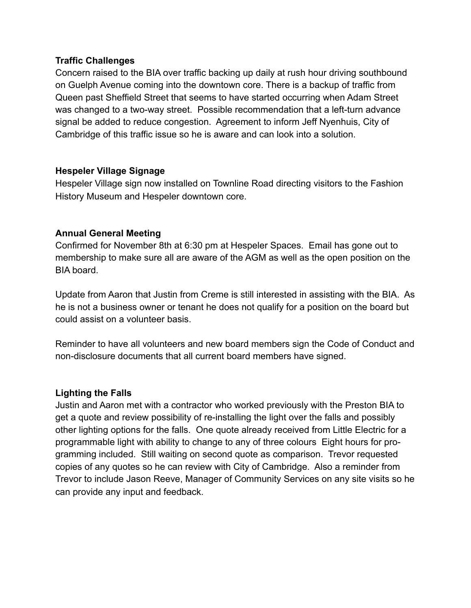#### **Traffic Challenges**

Concern raised to the BIA over traffic backing up daily at rush hour driving southbound on Guelph Avenue coming into the downtown core. There is a backup of traffic from Queen past Sheffield Street that seems to have started occurring when Adam Street was changed to a two-way street. Possible recommendation that a left-turn advance signal be added to reduce congestion. Agreement to inform Jeff Nyenhuis, City of Cambridge of this traffic issue so he is aware and can look into a solution.

#### **Hespeler Village Signage**

Hespeler Village sign now installed on Townline Road directing visitors to the Fashion History Museum and Hespeler downtown core.

# **Annual General Meeting**

Confirmed for November 8th at 6:30 pm at Hespeler Spaces. Email has gone out to membership to make sure all are aware of the AGM as well as the open position on the BIA board.

Update from Aaron that Justin from Creme is still interested in assisting with the BIA. As he is not a business owner or tenant he does not qualify for a position on the board but could assist on a volunteer basis.

Reminder to have all volunteers and new board members sign the Code of Conduct and non-disclosure documents that all current board members have signed.

# **Lighting the Falls**

Justin and Aaron met with a contractor who worked previously with the Preston BIA to get a quote and review possibility of re-installing the light over the falls and possibly other lighting options for the falls. One quote already received from Little Electric for a programmable light with ability to change to any of three colours Eight hours for programming included. Still waiting on second quote as comparison. Trevor requested copies of any quotes so he can review with City of Cambridge. Also a reminder from Trevor to include Jason Reeve, Manager of Community Services on any site visits so he can provide any input and feedback.